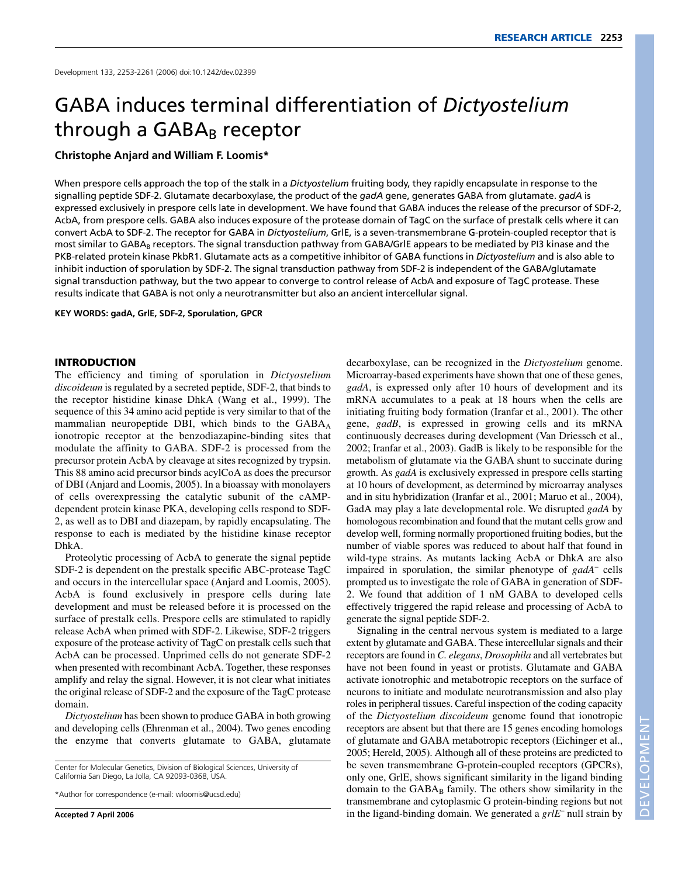# GABA induces terminal differentiation of *Dictyostelium* through a  $GABA_B$  receptor

#### **Christophe Anjard and William F. Loomis\***

When prespore cells approach the top of the stalk in a *Dictyostelium* fruiting body, they rapidly encapsulate in response to the signalling peptide SDF-2. Glutamate decarboxylase, the product of the *gadA* gene, generates GABA from glutamate. *gadA* is expressed exclusively in prespore cells late in development. We have found that GABA induces the release of the precursor of SDF-2, AcbA, from prespore cells. GABA also induces exposure of the protease domain of TagC on the surface of prestalk cells where it can convert AcbA to SDF-2. The receptor for GABA in *Dictyostelium*, GrlE, is a seven-transmembrane G-protein-coupled receptor that is most similar to GABA<sub>B</sub> receptors. The signal transduction pathway from GABA/GrlE appears to be mediated by PI3 kinase and the PKB-related protein kinase PkbR1. Glutamate acts as a competitive inhibitor of GABA functions in *Dictyostelium* and is also able to inhibit induction of sporulation by SDF-2. The signal transduction pathway from SDF-2 is independent of the GABA/glutamate signal transduction pathway, but the two appear to converge to control release of AcbA and exposure of TagC protease. These results indicate that GABA is not only a neurotransmitter but also an ancient intercellular signal.

#### **KEY WORDS: gadA, GrlE, SDF-2, Sporulation, GPCR**

#### **INTRODUCTION**

The efficiency and timing of sporulation in *Dictyostelium discoideum* is regulated by a secreted peptide, SDF-2, that binds to the receptor histidine kinase DhkA (Wang et al., 1999). The sequence of this 34 amino acid peptide is very similar to that of the mammalian neuropeptide DBI, which binds to the  $GABA_A$ ionotropic receptor at the benzodiazapine-binding sites that modulate the affinity to GABA. SDF-2 is processed from the precursor protein AcbA by cleavage at sites recognized by trypsin. This 88 amino acid precursor binds acylCoA as does the precursor of DBI (Anjard and Loomis, 2005). In a bioassay with monolayers of cells overexpressing the catalytic subunit of the cAMPdependent protein kinase PKA, developing cells respond to SDF-2, as well as to DBI and diazepam, by rapidly encapsulating. The response to each is mediated by the histidine kinase receptor DhkA.

Proteolytic processing of AcbA to generate the signal peptide SDF-2 is dependent on the prestalk specific ABC-protease TagC and occurs in the intercellular space (Anjard and Loomis, 2005). AcbA is found exclusively in prespore cells during late development and must be released before it is processed on the surface of prestalk cells. Prespore cells are stimulated to rapidly release AcbA when primed with SDF-2. Likewise, SDF-2 triggers exposure of the protease activity of TagC on prestalk cells such that AcbA can be processed. Unprimed cells do not generate SDF-2 when presented with recombinant AcbA. Together, these responses amplify and relay the signal. However, it is not clear what initiates the original release of SDF-2 and the exposure of the TagC protease domain.

*Dictyostelium* has been shown to produce GABA in both growing and developing cells (Ehrenman et al., 2004). Two genes encoding the enzyme that converts glutamate to GABA, glutamate

Center for Molecular Genetics, Division of Biological Sciences, University of California San Diego, La Jolla, CA 92093-0368, USA.

decarboxylase, can be recognized in the *Dictyostelium* genome. Microarray-based experiments have shown that one of these genes, *gadA*, is expressed only after 10 hours of development and its mRNA accumulates to a peak at 18 hours when the cells are initiating fruiting body formation (Iranfar et al., 2001). The other gene, *gadB*, is expressed in growing cells and its mRNA continuously decreases during development (Van Driessch et al., 2002; Iranfar et al., 2003). GadB is likely to be responsible for the metabolism of glutamate via the GABA shunt to succinate during growth. As *gadA* is exclusively expressed in prespore cells starting at 10 hours of development, as determined by microarray analyses and in situ hybridization (Iranfar et al., 2001; Maruo et al., 2004), GadA may play a late developmental role. We disrupted *gadA* by homologous recombination and found that the mutant cells grow and develop well, forming normally proportioned fruiting bodies, but the number of viable spores was reduced to about half that found in wild-type strains. As mutants lacking AcbA or DhkA are also impaired in sporulation, the similar phenotype of *gadA*– cells prompted us to investigate the role of GABA in generation of SDF-2. We found that addition of 1 nM GABA to developed cells effectively triggered the rapid release and processing of AcbA to generate the signal peptide SDF-2.

Signaling in the central nervous system is mediated to a large extent by glutamate and GABA. These intercellular signals and their receptors are found in *C. elegans*, *Drosophila* and all vertebrates but have not been found in yeast or protists. Glutamate and GABA activate ionotrophic and metabotropic receptors on the surface of neurons to initiate and modulate neurotransmission and also play roles in peripheral tissues. Careful inspection of the coding capacity of the *Dictyostelium discoideum* genome found that ionotropic receptors are absent but that there are 15 genes encoding homologs of glutamate and GABA metabotropic receptors (Eichinger et al., 2005; Hereld, 2005). Although all of these proteins are predicted to be seven transmembrane G-protein-coupled receptors (GPCRs), only one, GrlE, shows significant similarity in the ligand binding domain to the  $GABA_B$  family. The others show similarity in the transmembrane and cytoplasmic G protein-binding regions but not in the ligand-binding domain. We generated a *grlE*– null strain by

<sup>\*</sup>Author for correspondence (e-mail: wloomis@ucsd.edu)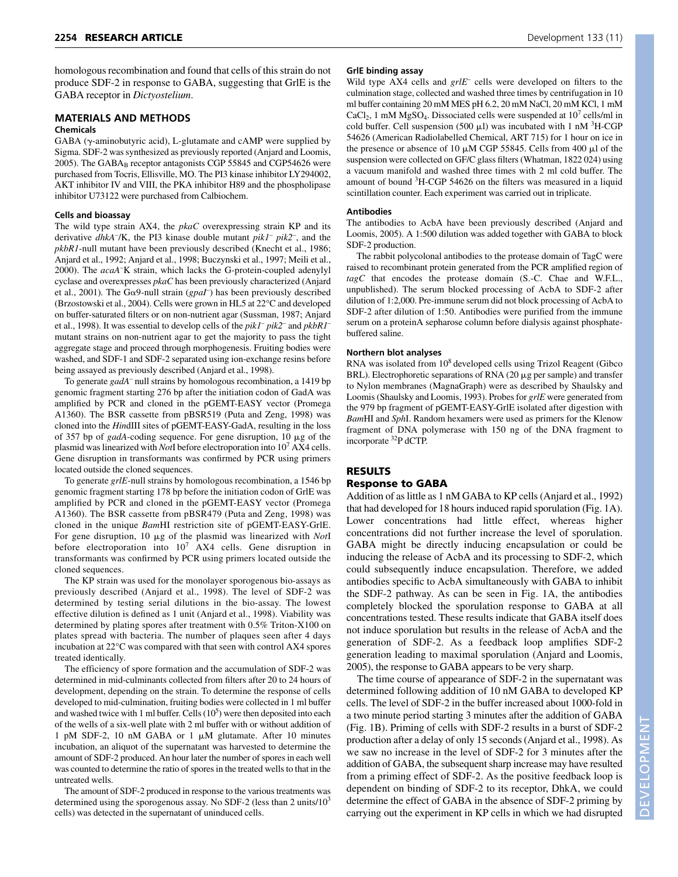homologous recombination and found that cells of this strain do not produce SDF-2 in response to GABA, suggesting that GrlE is the GABA receptor in *Dictyostelium*.

### **MATERIALS AND METHODS**

#### **Chemicals**

GABA (y-aminobutyric acid), L-glutamate and cAMP were supplied by Sigma. SDF-2 was synthesized as previously reported (Anjard and Loomis, 2005). The GABAB receptor antagonists CGP 55845 and CGP54626 were purchased from Tocris, Ellisville, MO. The PI3 kinase inhibitor LY294002, AKT inhibitor IV and VIII, the PKA inhibitor H89 and the phospholipase inhibitor U73122 were purchased from Calbiochem.

#### **Cells and bioassay**

The wild type strain AX4, the *pkaC* overexpressing strain KP and its derivative *dhkA–* /K, the PI3 kinase double mutant *pik1– pik2–* , and the *pkbR1*-null mutant have been previously described (Knecht et al., 1986; Anjard et al., 1992; Anjard et al., 1998; Buczynski et al., 1997; Meili et al., 2000). The *acaA–* K strain, which lacks the G-protein-coupled adenylyl cyclase and overexpresses *pkaC* has been previously characterized (Anjard et al., 2001). The G $\alpha$ 9-null strain ( $g \rho a \bar{I}$ ) has been previously described (Brzostowski et al., 2004). Cells were grown in HL5 at 22°C and developed on buffer-saturated filters or on non-nutrient agar (Sussman, 1987; Anjard et al., 1998). It was essential to develop cells of the *pik1– pik2–* and *pkbR1–* mutant strains on non-nutrient agar to get the majority to pass the tight aggregate stage and proceed through morphogenesis. Fruiting bodies were washed, and SDF-1 and SDF-2 separated using ion-exchange resins before being assayed as previously described (Anjard et al., 1998).

To generate *gadA–* null strains by homologous recombination, a 1419 bp genomic fragment starting 276 bp after the initiation codon of GadA was amplified by PCR and cloned in the pGEMT-EASY vector (Promega A1360). The BSR cassette from pBSR519 (Puta and Zeng, 1998) was cloned into the *Hin*dIII sites of pGEMT-EASY-GadA, resulting in the loss of 357 bp of *gadA*-coding sequence. For gene disruption, 10 µg of the plasmid was linearized with *Not*I before electroporation into 107 AX4 cells. Gene disruption in transformants was confirmed by PCR using primers located outside the cloned sequences.

To generate *grlE*-null strains by homologous recombination, a 1546 bp genomic fragment starting 178 bp before the initiation codon of GrlE was amplified by PCR and cloned in the pGEMT-EASY vector (Promega A1360). The BSR cassette from pBSR479 (Puta and Zeng, 1998) was cloned in the unique *Bam*HI restriction site of pGEMT-EASY-GrlE. For gene disruption, 10  $\mu$ g of the plasmid was linearized with *NotI* before electroporation into  $10^7$  AX4 cells. Gene disruption in transformants was confirmed by PCR using primers located outside the cloned sequences.

The KP strain was used for the monolayer sporogenous bio-assays as previously described (Anjard et al., 1998). The level of SDF-2 was determined by testing serial dilutions in the bio-assay. The lowest effective dilution is defined as 1 unit (Anjard et al., 1998). Viability was determined by plating spores after treatment with 0.5% Triton-X100 on plates spread with bacteria. The number of plaques seen after 4 days incubation at 22°C was compared with that seen with control AX4 spores treated identically.

The efficiency of spore formation and the accumulation of SDF-2 was determined in mid-culminants collected from filters after 20 to 24 hours of development, depending on the strain. To determine the response of cells developed to mid-culmination, fruiting bodies were collected in 1 ml buffer and washed twice with 1 ml buffer. Cells  $(10^5)$  were then deposited into each of the wells of a six-well plate with 2 ml buffer with or without addition of 1 pM SDF-2, 10 nM GABA or 1  $\mu$ M glutamate. After 10 minutes incubation, an aliquot of the supernatant was harvested to determine the amount of SDF-2 produced. An hour later the number of spores in each well was counted to determine the ratio of spores in the treated wells to that in the untreated wells.

The amount of SDF-2 produced in response to the various treatments was determined using the sporogenous assay. No SDF-2 (less than 2 units/ $10<sup>3</sup>$ cells) was detected in the supernatant of uninduced cells.

#### **GrlE binding assay**

Wild type AX4 cells and *grlE*– cells were developed on filters to the culmination stage, collected and washed three times by centrifugation in 10 ml buffer containing 20 mM MES pH 6.2, 20 mM NaCl, 20 mM KCl, 1 mM  $CaCl<sub>2</sub>$ , 1 mM MgSO<sub>4</sub>. Dissociated cells were suspended at  $10<sup>7</sup>$  cells/ml in cold buffer. Cell suspension (500  $\mu$ l) was incubated with 1 nM  ${}^{3}$ H-CGP 54626 (American Radiolabelled Chemical, ART 715) for 1 hour on ice in the presence or absence of 10  $\mu$ M CGP 55845. Cells from 400  $\mu$ l of the suspension were collected on GF/C glass filters (Whatman, 1822 024) using a vacuum manifold and washed three times with 2 ml cold buffer. The amount of bound <sup>3</sup>H-CGP 54626 on the filters was measured in a liquid scintillation counter. Each experiment was carried out in triplicate.

#### **Antibodies**

The antibodies to AcbA have been previously described (Anjard and Loomis, 2005). A 1:500 dilution was added together with GABA to block SDF-2 production.

The rabbit polycolonal antibodies to the protease domain of TagC were raised to recombinant protein generated from the PCR amplified region of *tagC* that encodes the protease domain (S.-C. Chae and W.F.L., unpublished). The serum blocked processing of AcbA to SDF-2 after dilution of 1:2,000. Pre-immune serum did not block processing of AcbA to SDF-2 after dilution of 1:50. Antibodies were purified from the immune serum on a proteinA sepharose column before dialysis against phosphatebuffered saline.

#### **Northern blot analyses**

RNA was isolated from 108 developed cells using Trizol Reagent (Gibco BRL). Electrophoretic separations of RNA (20  $\mu$ g per sample) and transfer to Nylon membranes (MagnaGraph) were as described by Shaulsky and Loomis (Shaulsky and Loomis, 1993). Probes for *grlE* were generated from the 979 bp fragment of pGEMT-EASY-GrlE isolated after digestion with *Bam*HI and *Sph*I. Random hexamers were used as primers for the Klenow fragment of DNA polymerase with 150 ng of the DNA fragment to incorporate 32P dCTP.

## **RESULTS**

#### **Response to GABA**

Addition of as little as 1 nM GABA to KP cells (Anjard et al., 1992) that had developed for 18 hours induced rapid sporulation (Fig. 1A). Lower concentrations had little effect, whereas higher concentrations did not further increase the level of sporulation. GABA might be directly inducing encapsulation or could be inducing the release of AcbA and its processing to SDF-2, which could subsequently induce encapsulation. Therefore, we added antibodies specific to AcbA simultaneously with GABA to inhibit the SDF-2 pathway. As can be seen in Fig. 1A, the antibodies completely blocked the sporulation response to GABA at all concentrations tested. These results indicate that GABA itself does not induce sporulation but results in the release of AcbA and the generation of SDF-2. As a feedback loop amplifies SDF-2 generation leading to maximal sporulation (Anjard and Loomis, 2005), the response to GABA appears to be very sharp.

The time course of appearance of SDF-2 in the supernatant was determined following addition of 10 nM GABA to developed KP cells. The level of SDF-2 in the buffer increased about 1000-fold in a two minute period starting 3 minutes after the addition of GABA (Fig. 1B). Priming of cells with SDF-2 results in a burst of SDF-2 production after a delay of only 15 seconds (Anjard et al., 1998). As we saw no increase in the level of SDF-2 for 3 minutes after the addition of GABA, the subsequent sharp increase may have resulted from a priming effect of SDF-2. As the positive feedback loop is dependent on binding of SDF-2 to its receptor, DhkA, we could determine the effect of GABA in the absence of SDF-2 priming by carrying out the experiment in KP cells in which we had disrupted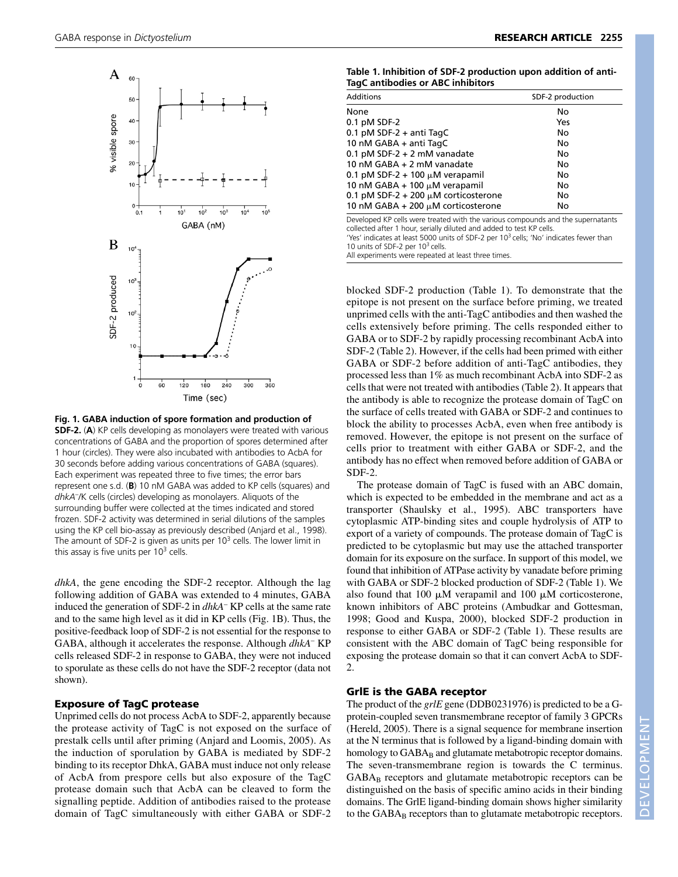

**Fig. 1. GABA induction of spore formation and production of SDF-2.** (**A**) KP cells developing as monolayers were treated with various concentrations of GABA and the proportion of spores determined after 1 hour (circles). They were also incubated with antibodies to AcbA for 30 seconds before adding various concentrations of GABA (squares). Each experiment was repeated three to five times; the error bars represent one s.d. (**B**) 10 nM GABA was added to KP cells (squares) and *dhkA*– /K cells (circles) developing as monolayers. Aliquots of the surrounding buffer were collected at the times indicated and stored frozen. SDF-2 activity was determined in serial dilutions of the samples using the KP cell bio-assay as previously described (Anjard et al., 1998). The amount of SDF-2 is given as units per  $10<sup>3</sup>$  cells. The lower limit in this assay is five units per  $10<sup>3</sup>$  cells.

*dhkA*, the gene encoding the SDF-2 receptor. Although the lag following addition of GABA was extended to 4 minutes, GABA induced the generation of SDF-2 in *dhkA*– KP cells at the same rate and to the same high level as it did in KP cells (Fig. 1B). Thus, the positive-feedback loop of SDF-2 is not essential for the response to GABA, although it accelerates the response. Although *dhkA*– KP cells released SDF-2 in response to GABA, they were not induced to sporulate as these cells do not have the SDF-2 receptor (data not shown).

#### **Exposure of TagC protease**

Unprimed cells do not process AcbA to SDF-2, apparently because the protease activity of TagC is not exposed on the surface of prestalk cells until after priming (Anjard and Loomis, 2005). As the induction of sporulation by GABA is mediated by SDF-2 binding to its receptor DhkA, GABA must induce not only release of AcbA from prespore cells but also exposure of the TagC protease domain such that AcbA can be cleaved to form the signalling peptide. Addition of antibodies raised to the protease domain of TagC simultaneously with either GABA or SDF-2

| Table 1. Inhibition of SDF-2 production upon addition of anti- |
|----------------------------------------------------------------|
| TagC antibodies or ABC inhibitors                              |

| Additions                                 | SDF-2 production |
|-------------------------------------------|------------------|
| None                                      | No               |
| $0.1$ pM SDF-2                            | Yes              |
| $0.1$ pM SDF-2 + anti TagC                | No               |
| 10 nM GABA + anti TagC                    | No               |
| $0.1$ pM SDF-2 + 2 mM vanadate            | No               |
| 10 nM GABA + 2 mM vanadate                | No               |
| 0.1 pM SDF-2 + 100 $\mu$ M verapamil      | No               |
| 10 nM GABA + 100 $\mu$ M verapamil        | No               |
| 0.1 pM SDF-2 + 200 $\mu$ M corticosterone | No               |
| 10 nM GABA + 200 $\mu$ M corticosterone   | No               |
|                                           |                  |

Developed KP cells were treated with the various compounds and the supernatants collected after 1 hour, serially diluted and added to test KP cells. 'Yes' indicates at least 5000 units of SDF-2 per 10<sup>3</sup> cells; 'No' indicates fewer than

10 units of SDF-2 per  $10<sup>3</sup>$  cells.

All experiments were repeated at least three times.

blocked SDF-2 production (Table 1). To demonstrate that the epitope is not present on the surface before priming, we treated unprimed cells with the anti-TagC antibodies and then washed the cells extensively before priming. The cells responded either to GABA or to SDF-2 by rapidly processing recombinant AcbA into SDF-2 (Table 2). However, if the cells had been primed with either GABA or SDF-2 before addition of anti-TagC antibodies, they processed less than 1% as much recombinant AcbA into SDF-2 as cells that were not treated with antibodies (Table 2). It appears that the antibody is able to recognize the protease domain of TagC on the surface of cells treated with GABA or SDF-2 and continues to block the ability to processes AcbA, even when free antibody is removed. However, the epitope is not present on the surface of cells prior to treatment with either GABA or SDF-2, and the antibody has no effect when removed before addition of GABA or SDF-2.

The protease domain of TagC is fused with an ABC domain, which is expected to be embedded in the membrane and act as a transporter (Shaulsky et al., 1995). ABC transporters have cytoplasmic ATP-binding sites and couple hydrolysis of ATP to export of a variety of compounds. The protease domain of TagC is predicted to be cytoplasmic but may use the attached transporter domain for its exposure on the surface. In support of this model, we found that inhibition of ATPase activity by vanadate before priming with GABA or SDF-2 blocked production of SDF-2 (Table 1). We also found that 100  $\mu$ M verapamil and 100  $\mu$ M corticosterone, known inhibitors of ABC proteins (Ambudkar and Gottesman, 1998; Good and Kuspa, 2000), blocked SDF-2 production in response to either GABA or SDF-2 (Table 1). These results are consistent with the ABC domain of TagC being responsible for exposing the protease domain so that it can convert AcbA to SDF-2.

#### **GrlE is the GABA receptor**

The product of the *grlE* gene (DDB0231976) is predicted to be a Gprotein-coupled seven transmembrane receptor of family 3 GPCRs (Hereld, 2005). There is a signal sequence for membrane insertion at the N terminus that is followed by a ligand-binding domain with homology to GABA<sub>B</sub> and glutamate metabotropic receptor domains. The seven-transmembrane region is towards the C terminus.  $GABA_B$  receptors and glutamate metabotropic receptors can be distinguished on the basis of specific amino acids in their binding domains. The GrlE ligand-binding domain shows higher similarity to the GABA<sub>B</sub> receptors than to glutamate metabotropic receptors.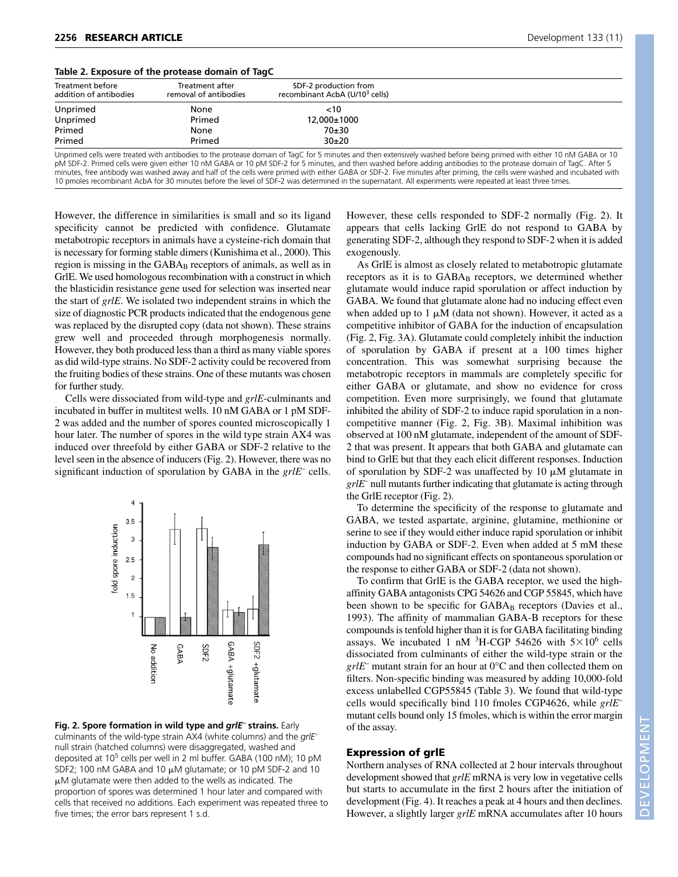| Table 2. Exposure of the protease domain of TagC |  |  |
|--------------------------------------------------|--|--|
|                                                  |  |  |

| Treatment before<br>addition of antibodies | <b>Treatment after</b><br>removal of antibodies | SDF-2 production from<br>recombinant AcbA (U/10 <sup>3</sup> cells) |  |
|--------------------------------------------|-------------------------------------------------|---------------------------------------------------------------------|--|
| Unprimed                                   | None                                            | <10                                                                 |  |
| Unprimed                                   | Primed                                          | 12,000±1000                                                         |  |
| Primed                                     | None                                            | $70+30$                                                             |  |
| Primed                                     | Primed                                          | $30+20$                                                             |  |

Unprimed cells were treated with antibodies to the protease domain of TagC for 5 minutes and then extensively washed before being primed with either 10 nM GABA or 10 pM SDF-2. Primed cells were given either 10 nM GABA or 10 pM SDF-2 for 5 minutes, and then washed before adding antibodies to the protease domain of TagC. After 5 minutes, free antibody was washed away and half of the cells were primed with either GABA or SDF-2. Five minutes after priming, the cells were washed and incubated with 10 pmoles recombinant AcbA for 30 minutes before the level of SDF-2 was determined in the supernatant. All experiments were repeated at least three times.

However, the difference in similarities is small and so its ligand specificity cannot be predicted with confidence. Glutamate metabotropic receptors in animals have a cysteine-rich domain that is necessary for forming stable dimers (Kunishima et al., 2000). This region is missing in the GABA<sub>B</sub> receptors of animals, as well as in GrlE. We used homologous recombination with a construct in which the blasticidin resistance gene used for selection was inserted near the start of *grlE*. We isolated two independent strains in which the size of diagnostic PCR products indicated that the endogenous gene was replaced by the disrupted copy (data not shown). These strains grew well and proceeded through morphogenesis normally. However, they both produced less than a third as many viable spores as did wild-type strains. No SDF-2 activity could be recovered from the fruiting bodies of these strains. One of these mutants was chosen for further study.

Cells were dissociated from wild-type and *grlE*-culminants and incubated in buffer in multitest wells. 10 nM GABA or 1 pM SDF-2 was added and the number of spores counted microscopically 1 hour later. The number of spores in the wild type strain AX4 was induced over threefold by either GABA or SDF-2 relative to the level seen in the absence of inducers (Fig. 2). However, there was no significant induction of sporulation by GABA in the *grlE*– cells.



**Fig. 2. Spore formation in wild type and** *grlE***– strains.** Early culminants of the wild-type strain AX4 (white columns) and the *grlE*– null strain (hatched columns) were disaggregated, washed and deposited at 10<sup>5</sup> cells per well in 2 ml buffer. GABA (100 nM); 10 pM SDF2; 100 nM GABA and 10  $\mu$ M glutamate; or 10 pM SDF-2 and 10  $\mu$ M glutamate were then added to the wells as indicated. The proportion of spores was determined 1 hour later and compared with cells that received no additions. Each experiment was repeated three to five times; the error bars represent 1 s.d.

However, these cells responded to SDF-2 normally (Fig. 2). It appears that cells lacking GrlE do not respond to GABA by generating SDF-2, although they respond to SDF-2 when it is added exogenously.

As GrlE is almost as closely related to metabotropic glutamate receptors as it is to GABA<sub>B</sub> receptors, we determined whether glutamate would induce rapid sporulation or affect induction by GABA. We found that glutamate alone had no inducing effect even when added up to 1  $\mu$ M (data not shown). However, it acted as a competitive inhibitor of GABA for the induction of encapsulation (Fig. 2, Fig. 3A). Glutamate could completely inhibit the induction of sporulation by GABA if present at a 100 times higher concentration. This was somewhat surprising because the metabotropic receptors in mammals are completely specific for either GABA or glutamate, and show no evidence for cross competition. Even more surprisingly, we found that glutamate inhibited the ability of SDF-2 to induce rapid sporulation in a noncompetitive manner (Fig. 2, Fig. 3B). Maximal inhibition was observed at 100 nM glutamate, independent of the amount of SDF-2 that was present. It appears that both GABA and glutamate can bind to GrlE but that they each elicit different responses. Induction of sporulation by SDF-2 was unaffected by  $10 \mu M$  glutamate in *grlE*– null mutants further indicating that glutamate is acting through the GrlE receptor (Fig. 2).

To determine the specificity of the response to glutamate and GABA, we tested aspartate, arginine, glutamine, methionine or serine to see if they would either induce rapid sporulation or inhibit induction by GABA or SDF-2. Even when added at 5 mM these compounds had no significant effects on spontaneous sporulation or the response to either GABA or SDF-2 (data not shown).

To confirm that GrlE is the GABA receptor, we used the highaffinity GABA antagonists CPG 54626 and CGP 55845, which have been shown to be specific for GABA<sub>B</sub> receptors (Davies et al., 1993). The affinity of mammalian GABA-B receptors for these compounds is tenfold higher than it is for GABA facilitating binding assays. We incubated 1 nM  ${}^{3}$ H-CGP 54626 with 5 $\times$ 10<sup>6</sup> cells dissociated from culminants of either the wild-type strain or the *grlE*– mutant strain for an hour at 0°C and then collected them on filters. Non-specific binding was measured by adding 10,000-fold excess unlabelled CGP55845 (Table 3). We found that wild-type cells would specifically bind 110 fmoles CGP4626, while *grlE*– mutant cells bound only 15 fmoles, which is within the error margin of the assay.

#### **Expression of grlE**

Northern analyses of RNA collected at 2 hour intervals throughout development showed that *grlE* mRNA is very low in vegetative cells but starts to accumulate in the first 2 hours after the initiation of development (Fig. 4). It reaches a peak at 4 hours and then declines. However, a slightly larger *grlE* mRNA accumulates after 10 hours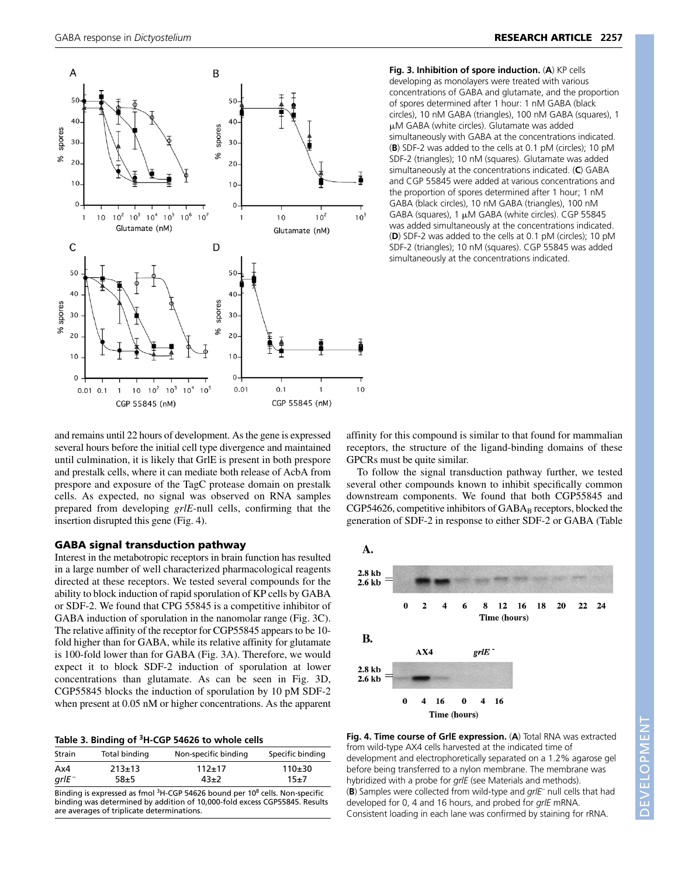

**Fig. 3. Inhibition of spore induction.** (**A**) KP cells developing as monolayers were treated with various concentrations of GABA and glutamate, and the proportion of spores determined after 1 hour: 1 nM GABA (black circles), 10 nM GABA (triangles), 100 nM GABA (squares), 1 M GABA (white circles). Glutamate was added simultaneously with GABA at the concentrations indicated. (**B**) SDF-2 was added to the cells at 0.1 pM (circles); 10 pM SDF-2 (triangles); 10 nM (squares). Glutamate was added simultaneously at the concentrations indicated. (**C**) GABA and CGP 55845 were added at various concentrations and the proportion of spores determined after 1 hour; 1 nM GABA (black circles), 10 nM GABA (triangles), 100 nM GABA (squares),  $1 \mu M$  GABA (white circles). CGP 55845 was added simultaneously at the concentrations indicated. (**D**) SDF-2 was added to the cells at 0.1 pM (circles); 10 pM SDF-2 (triangles); 10 nM (squares). CGP 55845 was added simultaneously at the concentrations indicated.

and remains until 22 hours of development. As the gene is expressed several hours before the initial cell type divergence and maintained until culmination, it is likely that GrlE is present in both prespore and prestalk cells, where it can mediate both release of AcbA from prespore and exposure of the TagC protease domain on prestalk cells. As expected, no signal was observed on RNA samples prepared from developing *grlE*-null cells, confirming that the insertion disrupted this gene (Fig. 4).

#### **GABA signal transduction pathway**

Interest in the metabotropic receptors in brain function has resulted in a large number of well characterized pharmacological reagents directed at these receptors. We tested several compounds for the ability to block induction of rapid sporulation of KP cells by GABA or SDF-2. We found that CPG 55845 is a competitive inhibitor of GABA induction of sporulation in the nanomolar range (Fig. 3C). The relative affinity of the receptor for CGP55845 appears to be 10 fold higher than for GABA, while its relative affinity for glutamate is 100-fold lower than for GABA (Fig. 3A). Therefore, we would expect it to block SDF-2 induction of sporulation at lower concentrations than glutamate. As can be seen in Fig. 3D, CGP55845 blocks the induction of sporulation by 10 pM SDF-2 when present at 0.05 nM or higher concentrations. As the apparent

| Strain | Total binding | Non-specific binding | Specific binding |
|--------|---------------|----------------------|------------------|
| Ax4    | $213+13$      | $112+17$             | $110+30$         |
| arlE - | $58 + 5$      | $43+2$               | $15 + 7$         |

Binding is expressed as fmol <sup>3</sup>H-CGP 54626 bound per 10<sup>8</sup> cells. Non-specific binding was determined by addition of 10,000-fold excess CGP55845. Results are averages of triplicate determinations.

affinity for this compound is similar to that found for mammalian receptors, the structure of the ligand-binding domains of these GPCRs must be quite similar.

To follow the signal transduction pathway further, we tested several other compounds known to inhibit specifically common downstream components. We found that both CGP55845 and  $CGP54626$ , competitive inhibitors of  $GABA_B$  receptors, blocked the generation of SDF-2 in response to either SDF-2 or GABA (Table





**Fig. 4. Time course of GrlE expression.** (**A**) Total RNA was extracted from wild-type AX4 cells harvested at the indicated time of development and electrophoretically separated on a 1.2% agarose gel before being transferred to a nylon membrane. The membrane was hybridized with a probe for *grlE* (see Materials and methods). (**B**) Samples were collected from wild-type and *grlE*– null cells that had developed for 0, 4 and 16 hours, and probed for *grlE* mRNA. Consistent loading in each lane was confirmed by staining for rRNA.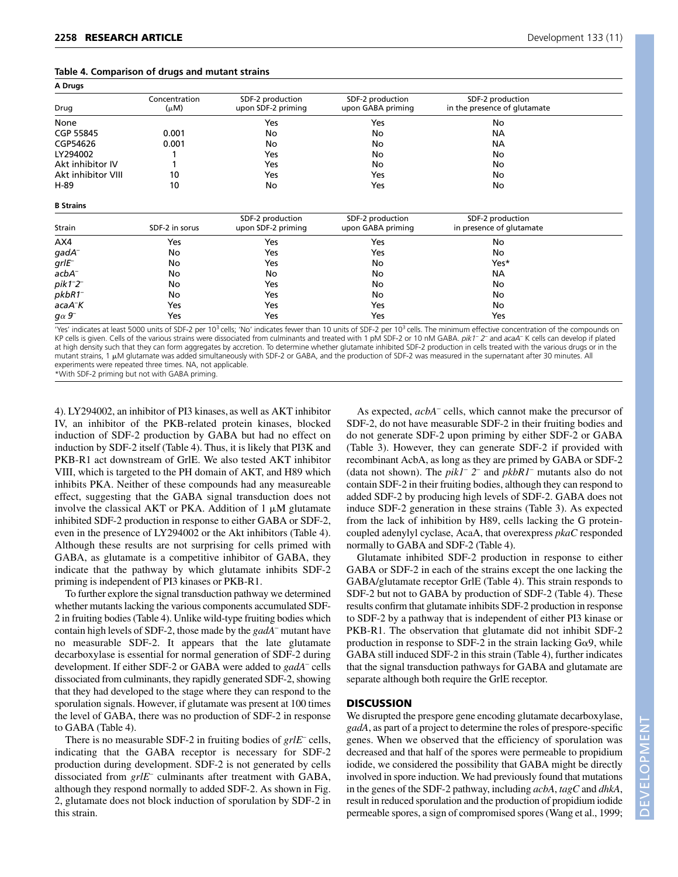| Development 133 ( |  |
|-------------------|--|
|                   |  |

| A Drugs            |                            |                                        |                                       |                                                  |  |
|--------------------|----------------------------|----------------------------------------|---------------------------------------|--------------------------------------------------|--|
| Drug               | Concentration<br>$(\mu M)$ | SDF-2 production<br>upon SDF-2 priming | SDF-2 production<br>upon GABA priming | SDF-2 production<br>in the presence of glutamate |  |
| None               |                            | Yes                                    | Yes                                   | No                                               |  |
| CGP 55845          | 0.001                      | No                                     | No                                    | NА                                               |  |
| CGP54626           | 0.001                      | No                                     | No                                    | NА                                               |  |
| LY294002           |                            | Yes                                    | No                                    | No                                               |  |
| Akt inhibitor IV   |                            | Yes                                    | No                                    | No                                               |  |
| Akt inhibitor VIII | 10                         | Yes                                    | Yes                                   | No                                               |  |
| H-89               | 10                         | No                                     | Yes                                   | No                                               |  |

**B Strains**

| Strain              | SDF-2 in sorus | SDF-2 production<br>upon SDF-2 priming | SDF-2 production<br>upon GABA priming | SDF-2 production<br>in presence of glutamate |  |
|---------------------|----------------|----------------------------------------|---------------------------------------|----------------------------------------------|--|
| AX4                 | Yes            | Yes                                    | Yes                                   | No                                           |  |
| $g$ ad $A^-$        | No             | Yes                                    | Yes                                   | No                                           |  |
| $grlE^-$            | No             | Yes                                    | No                                    | Yes*                                         |  |
| $acbA^-$            | No             | No                                     | No                                    | NА                                           |  |
| $pik1-2^-$          | No             | Yes                                    | No                                    | No                                           |  |
| $pkbR1^-$           | No             | Yes                                    | No                                    | No                                           |  |
| acaA <sup>-</sup> K | Yes            | Yes                                    | Yes                                   | No                                           |  |
| $g\alpha$ 9         | Yes            | Yes                                    | Yes                                   | Yes                                          |  |

'Yes' indicates at least 5000 units of SDF-2 per 10<sup>3</sup> cells; 'No' indicates fewer than 10 units of SDF-2 per 10<sup>3</sup> cells. The minimum effective concentration of the compounds on KP cells is given. Cells of the various strains were dissociated from culminants and treated with 1 pM SDF-2 or 10 nM GABA. *pik1*– *2*– and *acaA*– K cells can develop if plated at high density such that they can form aggregates by accretion. To determine whether glutamate inhibited SDF-2 production in cells treated with the various drugs or in the mutant strains, 1  $\mu$ M glutamate was added simultaneously with SDF-2 or GABA, and the production of SDF-2 was measured in the supernatant after 30 minutes. All experiments were repeated three times. NA, not applicable.

\*With SDF-2 priming but not with GABA priming.

4). LY294002, an inhibitor of PI3 kinases, as well as AKT inhibitor IV, an inhibitor of the PKB-related protein kinases, blocked induction of SDF-2 production by GABA but had no effect on induction by SDF-2 itself (Table 4). Thus, it is likely that PI3K and PKB-R1 act downstream of GrlE. We also tested AKT inhibitor VIII, which is targeted to the PH domain of AKT, and H89 which inhibits PKA. Neither of these compounds had any measureable effect, suggesting that the GABA signal transduction does not involve the classical AKT or PKA. Addition of  $1 \mu M$  glutamate inhibited SDF-2 production in response to either GABA or SDF-2, even in the presence of LY294002 or the Akt inhibitors (Table 4). Although these results are not surprising for cells primed with GABA, as glutamate is a competitive inhibitor of GABA, they indicate that the pathway by which glutamate inhibits SDF-2 priming is independent of PI3 kinases or PKB-R1.

To further explore the signal transduction pathway we determined whether mutants lacking the various components accumulated SDF-2 in fruiting bodies (Table 4). Unlike wild-type fruiting bodies which contain high levels of SDF-2, those made by the *gadA*– mutant have no measurable SDF-2. It appears that the late glutamate decarboxylase is essential for normal generation of SDF-2 during development. If either SDF-2 or GABA were added to *gadA*– cells dissociated from culminants, they rapidly generated SDF-2, showing that they had developed to the stage where they can respond to the sporulation signals. However, if glutamate was present at 100 times the level of GABA, there was no production of SDF-2 in response to GABA (Table 4).

There is no measurable SDF-2 in fruiting bodies of *grlE*– cells, indicating that the GABA receptor is necessary for SDF-2 production during development. SDF-2 is not generated by cells dissociated from *grlE*– culminants after treatment with GABA, although they respond normally to added SDF-2. As shown in Fig. 2, glutamate does not block induction of sporulation by SDF-2 in this strain.

As expected, *acbA*– cells, which cannot make the precursor of SDF-2, do not have measurable SDF-2 in their fruiting bodies and do not generate SDF-2 upon priming by either SDF-2 or GABA (Table 3). However, they can generate SDF-2 if provided with recombinant AcbA, as long as they are primed by GABA or SDF-2 (data not shown). The *pik1*– *2*– and *pkbR1*– mutants also do not contain SDF-2 in their fruiting bodies, although they can respond to added SDF-2 by producing high levels of SDF-2. GABA does not induce SDF-2 generation in these strains (Table 3). As expected from the lack of inhibition by H89, cells lacking the G proteincoupled adenylyl cyclase, AcaA, that overexpress *pkaC* responded normally to GABA and SDF-2 (Table 4).

Glutamate inhibited SDF-2 production in response to either GABA or SDF-2 in each of the strains except the one lacking the GABA/glutamate receptor GrlE (Table 4). This strain responds to SDF-2 but not to GABA by production of SDF-2 (Table 4). These results confirm that glutamate inhibits SDF-2 production in response to SDF-2 by a pathway that is independent of either PI3 kinase or PKB-R1. The observation that glutamate did not inhibit SDF-2 production in response to SDF-2 in the strain lacking  $G\alpha$ 9, while GABA still induced SDF-2 in this strain (Table 4), further indicates that the signal transduction pathways for GABA and glutamate are separate although both require the GrlE receptor.

#### **DISCUSSION**

We disrupted the prespore gene encoding glutamate decarboxylase, *gadA*, as part of a project to determine the roles of prespore-specific genes. When we observed that the efficiency of sporulation was decreased and that half of the spores were permeable to propidium iodide, we considered the possibility that GABA might be directly involved in spore induction. We had previously found that mutations in the genes of the SDF-2 pathway, including *acbA*, *tagC* and *dhkA*, result in reduced sporulation and the production of propidium iodide permeable spores, a sign of compromised spores (Wang et al., 1999;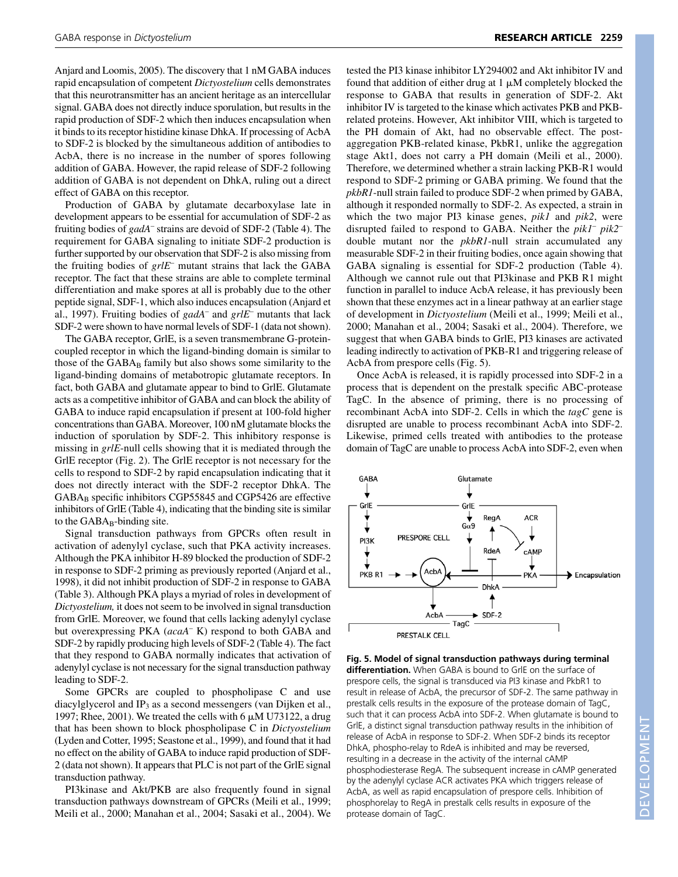Anjard and Loomis, 2005). The discovery that 1 nM GABA induces rapid encapsulation of competent *Dictyostelium* cells demonstrates that this neurotransmitter has an ancient heritage as an intercellular signal. GABA does not directly induce sporulation, but results in the rapid production of SDF-2 which then induces encapsulation when it binds to its receptor histidine kinase DhkA. If processing of AcbA to SDF-2 is blocked by the simultaneous addition of antibodies to AcbA, there is no increase in the number of spores following addition of GABA. However, the rapid release of SDF-2 following addition of GABA is not dependent on DhkA, ruling out a direct effect of GABA on this receptor.

Production of GABA by glutamate decarboxylase late in development appears to be essential for accumulation of SDF-2 as fruiting bodies of *gadA*– strains are devoid of SDF-2 (Table 4). The requirement for GABA signaling to initiate SDF-2 production is further supported by our observation that SDF-2 is also missing from the fruiting bodies of *grlE*– mutant strains that lack the GABA receptor. The fact that these strains are able to complete terminal differentiation and make spores at all is probably due to the other peptide signal, SDF-1, which also induces encapsulation (Anjard et al., 1997). Fruiting bodies of *gadA*– and *grlE*– mutants that lack SDF-2 were shown to have normal levels of SDF-1 (data not shown).

The GABA receptor, GrlE, is a seven transmembrane G-proteincoupled receptor in which the ligand-binding domain is similar to those of the GABA<sub>B</sub> family but also shows some similarity to the ligand-binding domains of metabotropic glutamate receptors. In fact, both GABA and glutamate appear to bind to GrlE. Glutamate acts as a competitive inhibitor of GABA and can block the ability of GABA to induce rapid encapsulation if present at 100-fold higher concentrations than GABA. Moreover, 100 nM glutamate blocks the induction of sporulation by SDF-2. This inhibitory response is missing in *grlE*-null cells showing that it is mediated through the GrlE receptor (Fig. 2). The GrlE receptor is not necessary for the cells to respond to SDF-2 by rapid encapsulation indicating that it does not directly interact with the SDF-2 receptor DhkA. The  $GABA_B$  specific inhibitors CGP55845 and CGP5426 are effective inhibitors of GrlE (Table 4), indicating that the binding site is similar to the  $GABA_B$ -binding site.

Signal transduction pathways from GPCRs often result in activation of adenylyl cyclase, such that PKA activity increases. Although the PKA inhibitor H-89 blocked the production of SDF-2 in response to SDF-2 priming as previously reported (Anjard et al., 1998), it did not inhibit production of SDF-2 in response to GABA (Table 3). Although PKA plays a myriad of roles in development of *Dictyostelium,* it does not seem to be involved in signal transduction from GrlE. Moreover, we found that cells lacking adenylyl cyclase but overexpressing PKA (*acaA*– K) respond to both GABA and SDF-2 by rapidly producing high levels of SDF-2 (Table 4). The fact that they respond to GABA normally indicates that activation of adenylyl cyclase is not necessary for the signal transduction pathway leading to SDF-2.

Some GPCRs are coupled to phospholipase C and use diacylglycerol and  $IP_3$  as a second messengers (van Dijken et al., 1997; Rhee, 2001). We treated the cells with 6  $\mu$ M U73122, a drug that has been shown to block phospholipase C in *Dictyostelium* (Lyden and Cotter, 1995; Seastone et al., 1999), and found that it had no effect on the ability of GABA to induce rapid production of SDF-2 (data not shown). It appears that PLC is not part of the GrlE signal transduction pathway.

PI3kinase and Akt/PKB are also frequently found in signal transduction pathways downstream of GPCRs (Meili et al., 1999; Meili et al., 2000; Manahan et al., 2004; Sasaki et al., 2004). We tested the PI3 kinase inhibitor LY294002 and Akt inhibitor IV and found that addition of either drug at  $1 \mu$ M completely blocked the response to GABA that results in generation of SDF-2. Akt inhibitor IV is targeted to the kinase which activates PKB and PKBrelated proteins. However, Akt inhibitor VIII, which is targeted to the PH domain of Akt, had no observable effect. The postaggregation PKB-related kinase, PkbR1, unlike the aggregation stage Akt1, does not carry a PH domain (Meili et al., 2000). Therefore, we determined whether a strain lacking PKB-R1 would respond to SDF-2 priming or GABA priming. We found that the *pkbR1*-null strain failed to produce SDF-2 when primed by GABA, although it responded normally to SDF-2. As expected, a strain in which the two major PI3 kinase genes, *pik1* and *pik2*, were disrupted failed to respond to GABA. Neither the *pik1*– *pik2*– double mutant nor the *pkbR1*-null strain accumulated any measurable SDF-2 in their fruiting bodies, once again showing that GABA signaling is essential for SDF-2 production (Table 4). Although we cannot rule out that PI3kinase and PKB R1 might function in parallel to induce AcbA release, it has previously been shown that these enzymes act in a linear pathway at an earlier stage of development in *Dictyostelium* (Meili et al., 1999; Meili et al., 2000; Manahan et al., 2004; Sasaki et al., 2004). Therefore, we suggest that when GABA binds to GrlE, PI3 kinases are activated leading indirectly to activation of PKB-R1 and triggering release of AcbA from prespore cells (Fig. 5).

Once AcbA is released, it is rapidly processed into SDF-2 in a process that is dependent on the prestalk specific ABC-protease TagC. In the absence of priming, there is no processing of recombinant AcbA into SDF-2. Cells in which the *tagC* gene is disrupted are unable to process recombinant AcbA into SDF-2. Likewise, primed cells treated with antibodies to the protease domain of TagC are unable to process AcbA into SDF-2, even when



**Fig. 5. Model of signal transduction pathways during terminal differentiation.** When GABA is bound to GrlE on the surface of prespore cells, the signal is transduced via PI3 kinase and PkbR1 to result in release of AcbA, the precursor of SDF-2. The same pathway in prestalk cells results in the exposure of the protease domain of TagC, such that it can process AcbA into SDF-2. When glutamate is bound to GrlE, a distinct signal transduction pathway results in the inhibition of release of AcbA in response to SDF-2. When SDF-2 binds its receptor DhkA, phospho-relay to RdeA is inhibited and may be reversed, resulting in a decrease in the activity of the internal cAMP phosphodiesterase RegA. The subsequent increase in cAMP generated by the adenylyl cyclase ACR activates PKA which triggers release of AcbA, as well as rapid encapsulation of prespore cells. Inhibition of phosphorelay to RegA in prestalk cells results in exposure of the protease domain of TagC.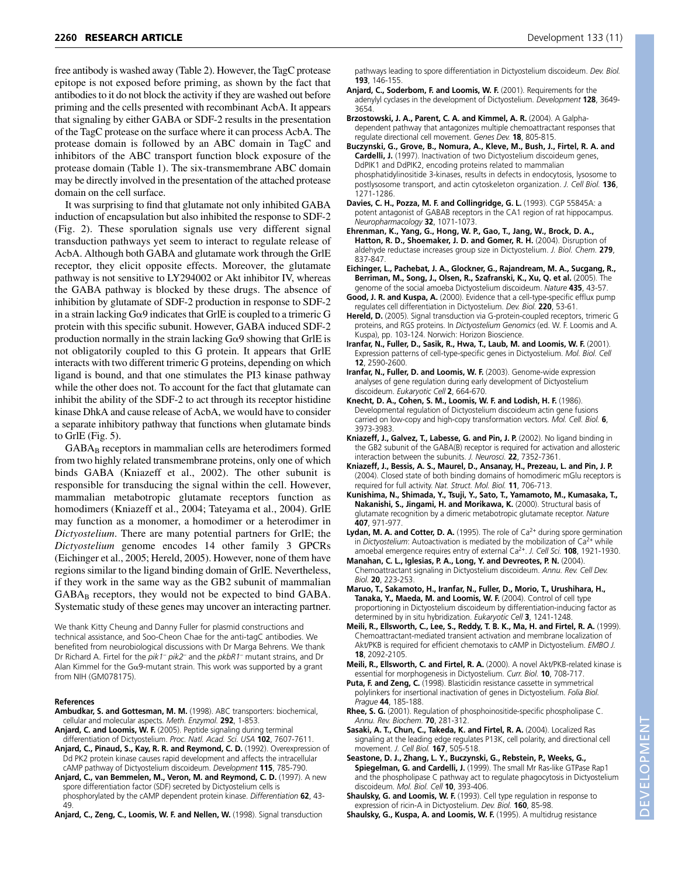free antibody is washed away (Table 2). However, the TagC protease epitope is not exposed before priming, as shown by the fact that antibodies to it do not block the activity if they are washed out before priming and the cells presented with recombinant AcbA. It appears that signaling by either GABA or SDF-2 results in the presentation of the TagC protease on the surface where it can process AcbA. The protease domain is followed by an ABC domain in TagC and inhibitors of the ABC transport function block exposure of the protease domain (Table 1). The six-transmembrane ABC domain may be directly involved in the presentation of the attached protease domain on the cell surface.

It was surprising to find that glutamate not only inhibited GABA induction of encapsulation but also inhibited the response to SDF-2 (Fig. 2). These sporulation signals use very different signal transduction pathways yet seem to interact to regulate release of AcbA. Although both GABA and glutamate work through the GrlE receptor, they elicit opposite effects. Moreover, the glutamate pathway is not sensitive to LY294002 or Akt inhibitor IV, whereas the GABA pathway is blocked by these drugs. The absence of inhibition by glutamate of SDF-2 production in response to SDF-2 in a strain lacking  $G\alpha$ 9 indicates that GrlE is coupled to a trimeric G protein with this specific subunit. However, GABA induced SDF-2 production normally in the strain lacking  $G\alpha$ 9 showing that GrlE is not obligatorily coupled to this G protein. It appears that GrlE interacts with two different trimeric G proteins, depending on which ligand is bound, and that one stimulates the PI3 kinase pathway while the other does not. To account for the fact that glutamate can inhibit the ability of the SDF-2 to act through its receptor histidine kinase DhkA and cause release of AcbA, we would have to consider a separate inhibitory pathway that functions when glutamate binds to GrlE (Fig. 5).

GABA<sub>B</sub> receptors in mammalian cells are heterodimers formed from two highly related transmembrane proteins, only one of which binds GABA (Kniazeff et al., 2002). The other subunit is responsible for transducing the signal within the cell. However, mammalian metabotropic glutamate receptors function as homodimers (Kniazeff et al., 2004; Tateyama et al., 2004). GrlE may function as a monomer, a homodimer or a heterodimer in *Dictyostelium*. There are many potential partners for GrlE; the *Dictyostelium* genome encodes 14 other family 3 GPCRs (Eichinger et al., 2005; Hereld, 2005). However, none of them have regions similar to the ligand binding domain of GrlE. Nevertheless, if they work in the same way as the GB2 subunit of mammalian GABA<sub>B</sub> receptors, they would not be expected to bind GABA. Systematic study of these genes may uncover an interacting partner.

We thank Kitty Cheung and Danny Fuller for plasmid constructions and technical assistance, and Soo-Cheon Chae for the anti-tagC antibodies. We benefited from neurobiological discussions with Dr Marga Behrens. We thank Dr Richard A. Firtel for the *pik1– pik2–* and the *pkbR1*– mutant strains, and Dr Alan Kimmel for the G $\alpha$ 9-mutant strain. This work was supported by a grant from NIH (GM078175).

#### **References**

- **Ambudkar, S. and Gottesman, M. M.** (1998). ABC transporters: biochemical, cellular and molecular aspects. *Meth. Enzymol.* **292**, 1-853.
- **Anjard, C. and Loomis, W. F.** (2005). Peptide signaling during terminal differentiation of Dictyostelium. *Proc. Natl. Acad. Sci. USA* **102**, 7607-7611.
- **Anjard, C., Pinaud, S., Kay, R. R. and Reymond, C. D.** (1992). Overexpression of Dd PK2 protein kinase causes rapid development and affects the intracellular cAMP pathway of Dictyostelium discoideum. *Development* **115**, 785-790.
- **Anjard, C., van Bemmelen, M., Veron, M. and Reymond, C. D.** (1997). A new spore differentiation factor (SDF) secreted by Dictyostelium cells is phosphorylated by the cAMP dependent protein kinase. *Differentiation* **62**, 43- 49.

**Anjard, C., Zeng, C., Loomis, W. F. and Nellen, W.** (1998). Signal transduction

pathways leading to spore differentiation in Dictyostelium discoideum. *Dev. Biol.* **193**, 146-155.

- **Anjard, C., Soderbom, F. and Loomis, W. F.** (2001). Requirements for the adenylyl cyclases in the development of Dictyostelium. *Development* **128**, 3649- 3654.
- **Brzostowski, J. A., Parent, C. A. and Kimmel, A. R.** (2004). A Galphadependent pathway that antagonizes multiple chemoattractant responses that regulate directional cell movement. *Genes Dev.* **18**, 805-815.
- **Buczynski, G., Grove, B., Nomura, A., Kleve, M., Bush, J., Firtel, R. A. and Cardelli, J.** (1997). Inactivation of two Dictyostelium discoideum genes, DdPIK1 and DdPIK2, encoding proteins related to mammalian phosphatidylinositide 3-kinases, results in defects in endocytosis, lysosome to postlysosome transport, and actin cytoskeleton organization. *J. Cell Biol.* **136**, 1271-1286.
- **Davies, C. H., Pozza, M. F. and Collingridge, G. L.** (1993). CGP 55845A: a potent antagonist of GABAB receptors in the CA1 region of rat hippocampus. *Neuropharmacology* **32**, 1071-1073.
- **Ehrenman, K., Yang, G., Hong, W. P., Gao, T., Jang, W., Brock, D. A., Hatton, R. D., Shoemaker, J. D. and Gomer, R. H.** (2004). Disruption of aldehyde reductase increases group size in Dictyostelium. *J. Biol. Chem.* **279**, 837-847.
- **Eichinger, L., Pachebat, J. A., Glockner, G., Rajandream, M. A., Sucgang, R., Berriman, M., Song, J., Olsen, R., Szafranski, K., Xu, Q. et al.** (2005). The genome of the social amoeba Dictyostelium discoideum. *Nature* **435**, 43-57.
- **Good, J. R. and Kuspa, A.** (2000). Evidence that a cell-type-specific efflux pump regulates cell differentiation in Dictyostelium. *Dev. Biol.* **220**, 53-61.
- **Hereld, D.** (2005). Signal transduction via G-protein-coupled receptors, trimeric G proteins, and RGS proteins. In *Dictyostelium Genomics* (ed. W. F. Loomis and A. Kuspa), pp. 103-124. Norwich: Horizon Bioscience.
- **Iranfar, N., Fuller, D., Sasik, R., Hwa, T., Laub, M. and Loomis, W. F.** (2001). Expression patterns of cell-type-specific genes in Dictyostelium. *Mol. Biol. Cell* **12**, 2590-2600.
- **Iranfar, N., Fuller, D. and Loomis, W. F.** (2003). Genome-wide expression analyses of gene regulation during early development of Dictyostelium discoideum. *Eukaryotic Cell* **2**, 664-670.
- **Knecht, D. A., Cohen, S. M., Loomis, W. F. and Lodish, H. F.** (1986). Developmental regulation of Dictyostelium discoideum actin gene fusions carried on low-copy and high-copy transformation vectors. *Mol. Cell. Biol.* **6**, 3973-3983.
- **Kniazeff, J., Galvez, T., Labesse, G. and Pin, J. P.** (2002). No ligand binding in the GB2 subunit of the GABA(B) receptor is required for activation and allosteric interaction between the subunits. *J. Neurosci.* **22**, 7352-7361.
- **Kniazeff, J., Bessis, A. S., Maurel, D., Ansanay, H., Prezeau, L. and Pin, J. P.** (2004). Closed state of both binding domains of homodimeric mGlu receptors is required for full activity. *Nat. Struct. Mol. Biol.* **11**, 706-713.
- **Kunishima, N., Shimada, Y., Tsuji, Y., Sato, T., Yamamoto, M., Kumasaka, T., Nakanishi, S., Jingami, H. and Morikawa, K.** (2000). Structural basis of glutamate recognition by a dimeric metabotropic glutamate receptor. *Nature* **407**, 971-977.
- Lydan, M. A. and Cotter, D. A. (1995). The role of Ca<sup>2+</sup> during spore germination in *Dictyostelium*: Autoactivation is mediated by the mobilization of Ca<sup>2+</sup> while amoebal emergence requires entry of external Ca2+. *J. Cell Sci.* **108**, 1921-1930.
- **Manahan, C. L., Iglesias, P. A., Long, Y. and Devreotes, P. N.** (2004). Chemoattractant signaling in Dictyostelium discoideum. *Annu. Rev. Cell Dev. Biol.* **20**, 223-253.
- **Maruo, T., Sakamoto, H., Iranfar, N., Fuller, D., Morio, T., Urushihara, H., Tanaka, Y., Maeda, M. and Loomis, W. F.** (2004). Control of cell type proportioning in Dictyostelium discoideum by differentiation-inducing factor as determined by in situ hybridization. *Eukaryotic Cell* **3**, 1241-1248.
- **Meili, R., Ellsworth, C., Lee, S., Reddy, T. B. K., Ma, H. and Firtel, R. A.** (1999). Chemoattractant-mediated transient activation and membrane localization of Akt/PKB is required for efficient chemotaxis to cAMP in Dictyostelium. *EMBO J.* **18**, 2092-2105.
- **Meili, R., Ellsworth, C. and Firtel, R. A.** (2000). A novel Akt/PKB-related kinase is essential for morphogenesis in Dictyostelium. *Curr. Biol.* **10**, 708-717.
- **Puta, F. and Zeng, C.** (1998). Blasticidin resistance cassette in symmetrical polylinkers for insertional inactivation of genes in Dictyostelium. *Folia Biol. Prague* **44**, 185-188.
- **Rhee, S. G.** (2001). Regulation of phosphoinositide-specific phospholipase C. *Annu. Rev. Biochem.* **70**, 281-312.
- **Sasaki, A. T., Chun, C., Takeda, K. and Firtel, R. A.** (2004). Localized Ras signaling at the leading edge regulates P13K, cell polarity, and directional cell movement. *J. Cell Biol.* **167**, 505-518.
- **Seastone, D. J., Zhang, L. Y., Buczynski, G., Rebstein, P., Weeks, G., Spiegelman, G. and Cardelli, J.** (1999). The small Mr Ras-like GTPase Rap1 and the phospholipase C pathway act to regulate phagocytosis in Dictyostelium discoideum. *Mol. Biol. Cell* **10**, 393-406.
- **Shaulsky, G. and Loomis, W. F.** (1993). Cell type regulation in response to expression of ricin-A in Dictyostelium. *Dev. Biol.* **160**, 85-98.
- **Shaulsky, G., Kuspa, A. and Loomis, W. F.** (1995). A multidrug resistance